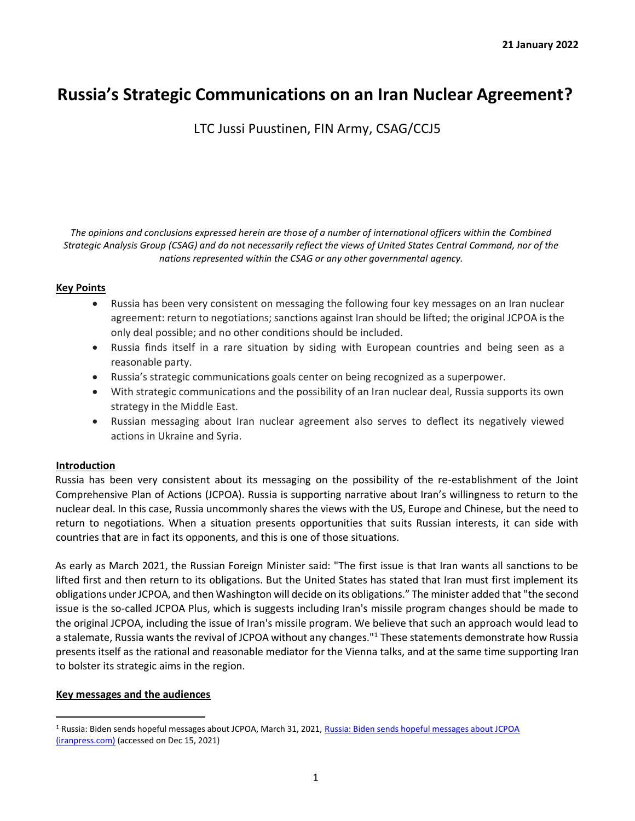# **Russia's Strategic Communications on an Iran Nuclear Agreement?**

LTC Jussi Puustinen, FIN Army, CSAG/CCJ5

*The opinions and conclusions expressed herein are those of a number of international officers within the Combined Strategic Analysis Group (CSAG) and do not necessarily reflect the views of United States Central Command, nor of the nations represented within the CSAG or any other governmental agency.*

### **Key Points**

- Russia has been very consistent on messaging the following four key messages on an Iran nuclear agreement: return to negotiations; sanctions against Iran should be lifted; the original JCPOA is the only deal possible; and no other conditions should be included.
- Russia finds itself in a rare situation by siding with European countries and being seen as a reasonable party.
- Russia's strategic communications goals center on being recognized as a superpower.
- With strategic communications and the possibility of an Iran nuclear deal, Russia supports its own strategy in the Middle East.
- Russian messaging about Iran nuclear agreement also serves to deflect its negatively viewed actions in Ukraine and Syria.

## **Introduction**

Russia has been very consistent about its messaging on the possibility of the re-establishment of the Joint Comprehensive Plan of Actions (JCPOA). Russia is supporting narrative about Iran's willingness to return to the nuclear deal. In this case, Russia uncommonly shares the views with the US, Europe and Chinese, but the need to return to negotiations. When a situation presents opportunities that suits Russian interests, it can side with countries that are in fact its opponents, and this is one of those situations.

As early as March 2021, the Russian Foreign Minister said: "The first issue is that Iran wants all sanctions to be lifted first and then return to its obligations. But the United States has stated that Iran must first implement its obligations under JCPOA, and then Washington will decide on its obligations." The minister added that "the second issue is the so-called JCPOA Plus, which is suggests including Iran's missile program changes should be made to the original JCPOA, including the issue of Iran's missile program. We believe that such an approach would lead to a stalemate, Russia wants the revival of JCPOA without any changes."<sup>1</sup> These statements demonstrate how Russia presents itself as the rational and reasonable mediator for the Vienna talks, and at the same time supporting Iran to bolster its strategic aims in the region.

#### **Key messages and the audiences**

<sup>1</sup> Russia: Biden sends hopeful messages about JCPOA, March 31, 2021, Russia: Biden sends hopeful messages about JCPOA (iranpress.com) (accessed on Dec 15, 2021)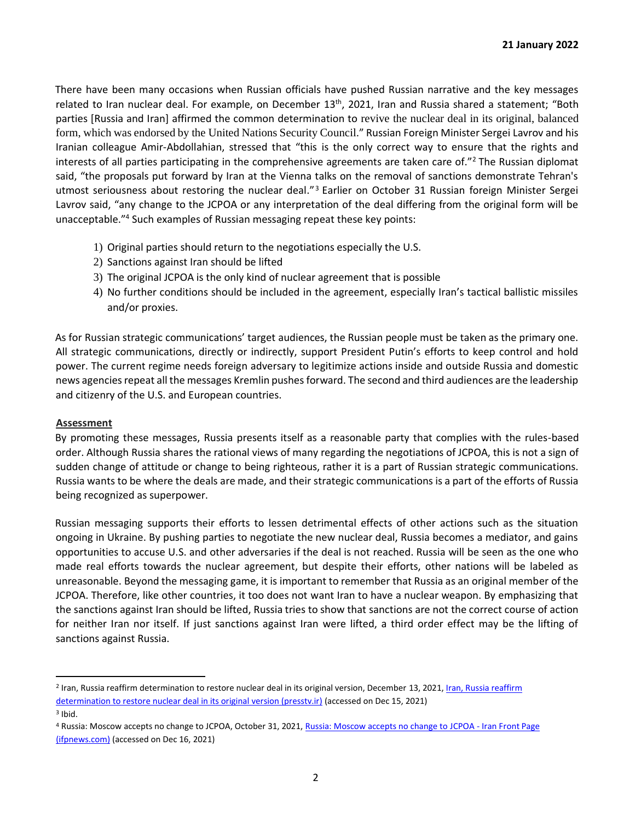There have been many occasions when Russian officials have pushed Russian narrative and the key messages related to Iran nuclear deal. For example, on December 13<sup>th</sup>, 2021, Iran and Russia shared a statement; "Both parties [Russia and Iran] affirmed the common determination to revive the nuclear deal in its original, balanced form, which was endorsed by the United Nations Security Council." Russian Foreign Minister Sergei Lavrov and his Iranian colleague Amir-Abdollahian, stressed that "this is the only correct way to ensure that the rights and interests of all parties participating in the comprehensive agreements are taken care of."<sup>2</sup> The Russian diplomat said, "the proposals put forward by Iran at the Vienna talks on the removal of sanctions demonstrate Tehran's utmost seriousness about restoring the nuclear deal." <sup>3</sup> Earlier on October 31 Russian foreign Minister Sergei Lavrov said, "any change to the JCPOA or any interpretation of the deal differing from the original form will be unacceptable."<sup>4</sup> Such examples of Russian messaging repeat these key points:

- 1) Original parties should return to the negotiations especially the U.S.
- 2) Sanctions against Iran should be lifted
- 3) The original JCPOA is the only kind of nuclear agreement that is possible
- 4) No further conditions should be included in the agreement, especially Iran's tactical ballistic missiles and/or proxies.

As for Russian strategic communications' target audiences, the Russian people must be taken as the primary one. All strategic communications, directly or indirectly, support President Putin's efforts to keep control and hold power. The current regime needs foreign adversary to legitimize actions inside and outside Russia and domestic news agencies repeat all the messages Kremlin pushes forward. The second and third audiences are the leadership and citizenry of the U.S. and European countries.

#### **Assessment**

By promoting these messages, Russia presents itself as a reasonable party that complies with the rules-based order. Although Russia shares the rational views of many regarding the negotiations of JCPOA, this is not a sign of sudden change of attitude or change to being righteous, rather it is a part of Russian strategic communications. Russia wants to be where the deals are made, and their strategic communications is a part of the efforts of Russia being recognized as superpower.

Russian messaging supports their efforts to lessen detrimental effects of other actions such as the situation ongoing in Ukraine. By pushing parties to negotiate the new nuclear deal, Russia becomes a mediator, and gains opportunities to accuse U.S. and other adversaries if the deal is not reached. Russia will be seen as the one who made real efforts towards the nuclear agreement, but despite their efforts, other nations will be labeled as unreasonable. Beyond the messaging game, it is important to remember that Russia as an original member of the JCPOA. Therefore, like other countries, it too does not want Iran to have a nuclear weapon. By emphasizing that the sanctions against Iran should be lifted, Russia tries to show that sanctions are not the correct course of action for neither Iran nor itself. If just sanctions against Iran were lifted, a third order effect may be the lifting of sanctions against Russia.

<sup>&</sup>lt;sup>2</sup> Iran, Russia reaffirm determination to restore nuclear deal in its original version, December 13, 2021, <u>Iran, Russia reaffirm</u> determination to restore nuclear deal in its original version (presstv.ir) (accessed on Dec 15, 2021)

<sup>3</sup> Ibid.

<sup>4</sup> Russia: Moscow accepts no change to JCPOA, October 31, 2021, Russia: Moscow accepts no change to JCPOA - Iran Front Page (ifpnews.com) (accessed on Dec 16, 2021)